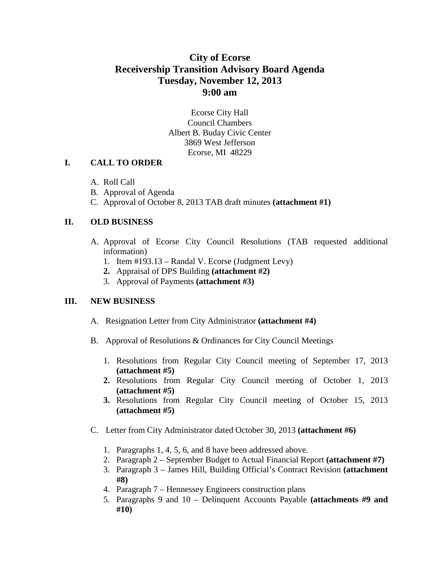# **City of Ecorse Receivership Transition Advisory Board Agenda Tuesday, November 12, 2013 9:00 am**

Ecorse City Hall Council Chambers Albert B. Buday Civic Center 3869 West Jefferson Ecorse, MI 48229

#### **I. CALL TO ORDER**

- A. Roll Call
- B. Approval of Agenda
- C. Approval of October 8, 2013 TAB draft minutes **(attachment #1)**

### **II. OLD BUSINESS**

- A. Approval of Ecorse City Council Resolutions (TAB requested additional information)
	- 1. Item #193.13 Randal V. Ecorse (Judgment Levy)
	- **2.** Appraisal of DPS Building **(attachment #2)**
	- 3. Approval of Payments **(attachment #3)**

### **III. NEW BUSINESS**

- A. Resignation Letter from City Administrator **(attachment #4)**
- B. Approval of Resolutions & Ordinances for City Council Meetings
	- 1. Resolutions from Regular City Council meeting of September 17, 2013 **(attachment #5)**
	- **2.** Resolutions from Regular City Council meeting of October 1, 2013 **(attachment #5)**
	- **3.** Resolutions from Regular City Council meeting of October 15, 2013 **(attachment #5)**
- C. Letter from City Administrator dated October 30, 2013 **(attachment #6)**
	- 1. Paragraphs 1, 4, 5, 6, and 8 have been addressed above.
	- 2. Paragraph 2 September Budget to Actual Financial Report **(attachment #7)**
	- 3. Paragraph 3 James Hill, Building Official's Contract Revision **(attachment #8)**
	- 4. Paragraph 7 Hennessey Engineers construction plans
	- 5. Paragraphs 9 and 10 Delinquent Accounts Payable **(attachments #9 and #10)**